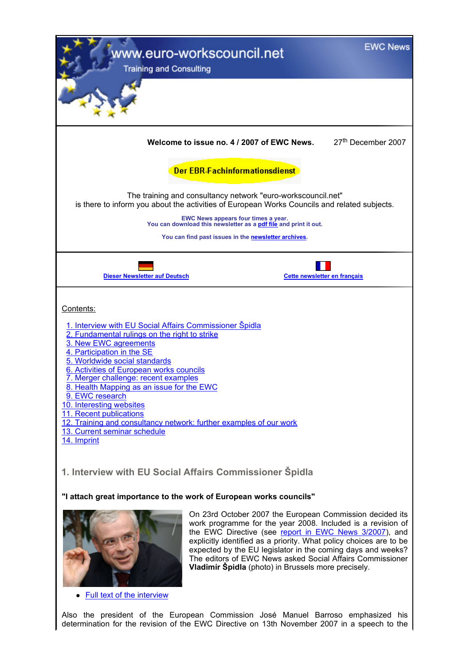| <b>EWC News</b><br>www.euro-workscouncil.net<br><b>Training and Consulting</b>                                                                                                                                                                                                                                                                                                                                                                                                                                                                |
|-----------------------------------------------------------------------------------------------------------------------------------------------------------------------------------------------------------------------------------------------------------------------------------------------------------------------------------------------------------------------------------------------------------------------------------------------------------------------------------------------------------------------------------------------|
|                                                                                                                                                                                                                                                                                                                                                                                                                                                                                                                                               |
| 27th December 2007<br>Welcome to issue no. 4 / 2007 of EWC News.                                                                                                                                                                                                                                                                                                                                                                                                                                                                              |
| <b>Der EBR-Fachinformationsdienst</b>                                                                                                                                                                                                                                                                                                                                                                                                                                                                                                         |
| The training and consultancy network "euro-workscouncil.net"<br>is there to inform you about the activities of European Works Councils and related subjects.                                                                                                                                                                                                                                                                                                                                                                                  |
| EWC News appears four times a year.<br>You can download this newsletter as a polf file and print it out.                                                                                                                                                                                                                                                                                                                                                                                                                                      |
| You can find past issues in the newsletter archives.                                                                                                                                                                                                                                                                                                                                                                                                                                                                                          |
| <b>Dieser Newsletter auf Deutsch</b><br>Cette newsletter en français                                                                                                                                                                                                                                                                                                                                                                                                                                                                          |
| Contents:<br>1. Interview with EU Social Affairs Commissioner Spidla<br>2. Fundamental rulings on the right to strike<br>3. New EWC agreements<br>4. Participation in the SE<br>5. Worldwide social standards<br>6. Activities of European works councils<br>7. Merger challenge: recent examples<br>8. Health Mapping as an issue for the EWC<br>9. EWC research<br>10. Interesting websites<br>11. Recent publications<br>12. Training and consultancy network: further examples of our work<br>13. Current seminar schedule<br>14. Imprint |
| 1. Interview with EU Social Affairs Commissioner Spidla<br>"I attach great importance to the work of European works councils"                                                                                                                                                                                                                                                                                                                                                                                                                 |
| On 23rd October 2007 the European Commission decided its<br>work programme for the year 2008. Included is a revision of<br>the EWC Directive (see report in EWC News 3/2007), and<br>explicitly identified as a priority. What policy choices are to be<br>expected by the EU legislator in the coming days and weeks?<br>The editors of EWC News asked Social Affairs Commissioner<br><b>Vladimír Špidla</b> (photo) in Brussels more precisely.<br><b>Full text of the interview</b>                                                        |

Also the president of the European Commission José Manuel Barroso emphasized his determination for the revision of the EWC Directive on 13th November 2007 in a speech to the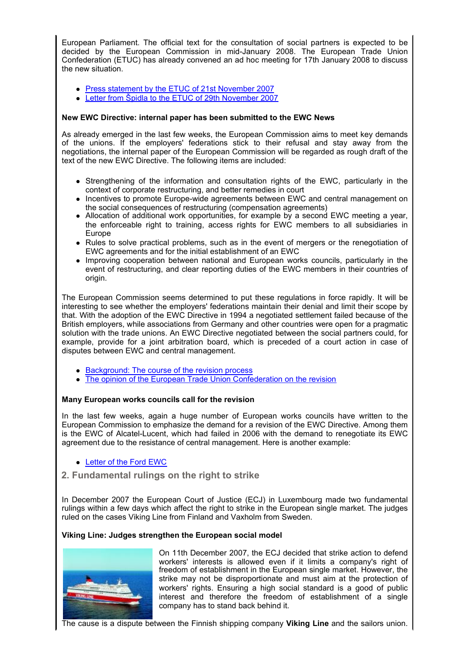European Parliament. The official text for the consultation of social partners is expected to be decided by the European Commission in mid-January 2008. The European Trade Union Confederation (ETUC) has already convened an ad hoc meeting for 17th January 2008 to discuss the new situation.

- Press statement by the ETUC of 21st November 2007
- Letter from Špidla to the ETUC of 29th November 2007

## **New EWC Directive: internal paper has been submitted to the EWC News**

As already emerged in the last few weeks, the European Commission aims to meet key demands of the unions. If the employers' federations stick to their refusal and stay away from the negotiations, the internal paper of the European Commission will be regarded as rough draft of the text of the new EWC Directive. The following items are included:

- Strengthening of the information and consultation rights of the EWC, particularly in the context of corporate restructuring, and better remedies in court
- Incentives to promote Europe-wide agreements between EWC and central management on the social consequences of restructuring (compensation agreements)
- Allocation of additional work opportunities, for example by a second EWC meeting a year, the enforceable right to training, access rights for EWC members to all subsidiaries in Europe
- Rules to solve practical problems, such as in the event of mergers or the renegotiation of EWC agreements and for the initial establishment of an EWC
- Improving cooperation between national and European works councils, particularly in the event of restructuring, and clear reporting duties of the EWC members in their countries of origin.

The European Commission seems determined to put these regulations in force rapidly. It will be interesting to see whether the employers' federations maintain their denial and limit their scope by that. With the adoption of the EWC Directive in 1994 a negotiated settlement failed because of the British employers, while associations from Germany and other countries were open for a pragmatic solution with the trade unions. An EWC Directive negotiated between the social partners could, for example, provide for a joint arbitration board, which is preceded of a court action in case of disputes between EWC and central management.

- Background: The course of the revision process
- The opinion of the European Trade Union Confederation on the revision

# **Many European works councils call for the revision**

In the last few weeks, again a huge number of European works councils have written to the European Commission to emphasize the demand for a revision of the EWC Directive. Among them is the EWC of Alcatel-Lucent, which had failed in 2006 with the demand to renegotiate its EWC agreement due to the resistance of central management. Here is another example:

- Letter of the Ford EWC
- **2. Fundamental rulings on the right to strike**

In December 2007 the European Court of Justice (ECJ) in Luxembourg made two fundamental rulings within a few days which affect the right to strike in the European single market. The judges ruled on the cases Viking Line from Finland and Vaxholm from Sweden.

# **Viking Line: Judges strengthen the European social model**



On 11th December 2007, the ECJ decided that strike action to defend workers' interests is allowed even if it limits a company's right of freedom of establishment in the European single market. However, the strike may not be disproportionate and must aim at the protection of workers' rights. Ensuring a high social standard is a good of public interest and therefore the freedom of establishment of a single company has to stand back behind it.

The cause is a dispute between the Finnish shipping company **Viking Line** and the sailors union.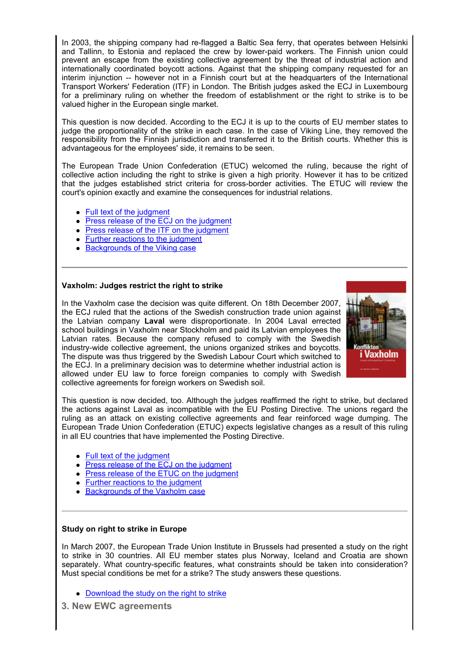In 2003, the shipping company had re-flagged a Baltic Sea ferry, that operates between Helsinki and Tallinn, to Estonia and replaced the crew by lower-paid workers. The Finnish union could prevent an escape from the existing collective agreement by the threat of industrial action and internationally coordinated boycott actions. Against that the shipping company requested for an interim injunction -- however not in a Finnish court but at the headquarters of the International Transport Workers' Federation (ITF) in London. The British judges asked the ECJ in Luxembourg for a preliminary ruling on whether the freedom of establishment or the right to strike is to be valued higher in the European single market.

This question is now decided. According to the ECJ it is up to the courts of EU member states to judge the proportionality of the strike in each case. In the case of Viking Line, they removed the responsibility from the Finnish jurisdiction and transferred it to the British courts. Whether this is advantageous for the employees' side, it remains to be seen.

The European Trade Union Confederation (ETUC) welcomed the ruling, because the right of collective action including the right to strike is given a high priority. However it has to be critized that the judges established strict criteria for cross-border activities. The ETUC will review the court's opinion exactly and examine the consequences for industrial relations.

- Full text of the judgment
- Press release of the ECJ on the judgment
- Press release of the ITF on the judgment
- Further reactions to the judgment
- Backgrounds of the Viking case

## **Vaxholm: Judges restrict the right to strike**

In the Vaxholm case the decision was quite different. On 18th December 2007, the ECJ ruled that the actions of the Swedish construction trade union against the Latvian company **Laval** were disproportionate. In 2004 Laval errected school buildings in Vaxholm near Stockholm and paid its Latvian employees the Latvian rates. Because the company refused to comply with the Swedish industry-wide collective agreement, the unions organized strikes and boycotts. The dispute was thus triggered by the Swedish Labour Court which switched to the ECJ. In a preliminary decision was to determine whether industrial action is allowed under EU law to force foreign companies to comply with Swedish collective agreements for foreign workers on Swedish soil.



This question is now decided, too. Although the judges reaffirmed the right to strike, but declared the actions against Laval as incompatible with the EU Posting Directive. The unions regard the ruling as an attack on existing collective agreements and fear reinforced wage dumping. The European Trade Union Confederation (ETUC) expects legislative changes as a result of this ruling in all EU countries that have implemented the Posting Directive.

- Full text of the judgment
- Press release of the ECJ on the judgment
- Press release of the ETUC on the judgment
- Further reactions to the judgment
- Backgrounds of the Vaxholm case

## **Study on right to strike in Europe**

In March 2007, the European Trade Union Institute in Brussels had presented a study on the right to strike in 30 countries. All EU member states plus Norway, Iceland and Croatia are shown separately. What country-specific features, what constraints should be taken into consideration? Must special conditions be met for a strike? The study answers these questions.

- Download the study on the right to strike
- **3. New EWC agreements**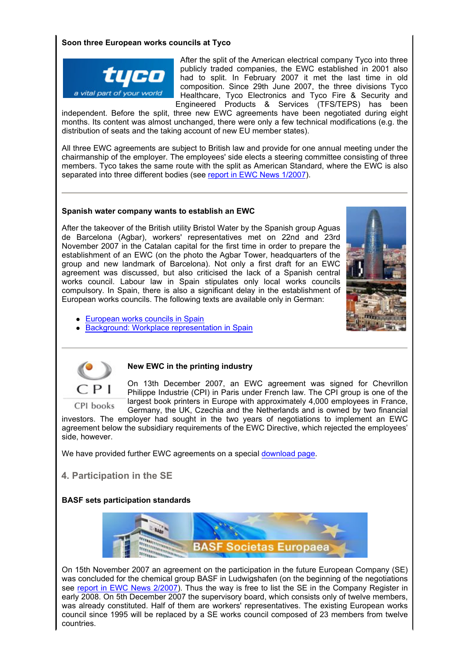# **Soon three European works councils at Tyco**



After the split of the American electrical company Tyco into three publicly traded companies, the EWC established in 2001 also had to split. In February 2007 it met the last time in old composition. Since 29th June 2007, the three divisions Tyco Healthcare, Tyco Electronics and Tyco Fire & Security and Engineered Products & Services (TFS/TEPS) has been

independent. Before the split, three new EWC agreements have been negotiated during eight months. Its content was almost unchanged, there were only a few technical modifications (e.g. the distribution of seats and the taking account of new EU member states).

All three EWC agreements are subject to British law and provide for one annual meeting under the chairmanship of the employer. The employees' side elects a steering committee consisting of three members. Tyco takes the same route with the split as American Standard, where the EWC is also separated into three different bodies (see report in EWC News 1/2007).

## **Spanish water company wants to establish an EWC**

After the takeover of the British utility Bristol Water by the Spanish group Aguas de Barcelona (Agbar), workers' representatives met on 22nd and 23rd November 2007 in the Catalan capital for the first time in order to prepare the establishment of an EWC (on the photo the Agbar Tower, headquarters of the group and new landmark of Barcelona). Not only a first draft for an EWC agreement was discussed, but also criticised the lack of a Spanish central works council. Labour law in Spain stipulates only local works councils compulsory. In Spain, there is also a significant delay in the establishment of European works councils. The following texts are available only in German:



- European works councils in Spain
- Background: Workplace representation in Spain



CPI books

## **New EWC in the printing industry**

On 13th December 2007, an EWC agreement was signed for Chevrillon Philippe Industrie (CPI) in Paris under French law. The CPI group is one of the largest book printers in Europe with approximately 4,000 employees in France, Germany, the UK, Czechia and the Netherlands and is owned by two financial

investors. The employer had sought in the two years of negotiations to implement an EWC agreement below the subsidiary requirements of the EWC Directive, which rejected the employees' side, however.

We have provided further EWC agreements on a special download page.

**4. Participation in the SE**

# **BASF sets participation standards**



On 15th November 2007 an agreement on the participation in the future European Company (SE) was concluded for the chemical group BASF in Ludwigshafen (on the beginning of the negotiations see report in EWC News 2/2007). Thus the way is free to list the SE in the Company Register in early 2008. On 5th December 2007 the supervisory board, which consists only of twelve members, was already constituted. Half of them are workers' representatives. The existing European works council since 1995 will be replaced by a SE works council composed of 23 members from twelve countries.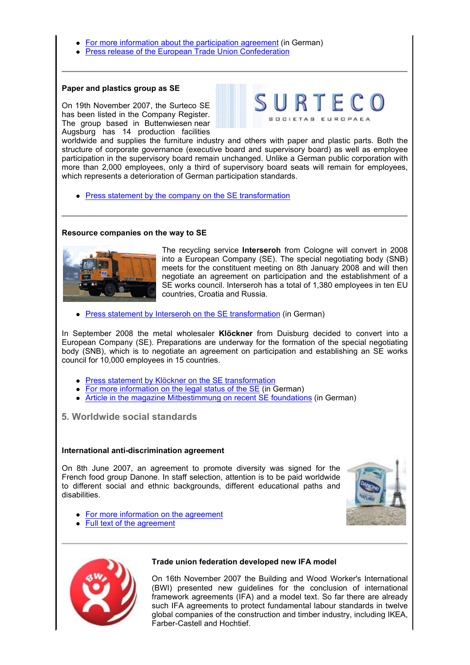- For more information about the participation agreement (in German)
- Press release of the European Trade Union Confederation

#### **Paper and plastics group as SE**

On 19th November 2007, the Surteco SE has been listed in the Company Register. The group based in Buttenwiesen near Augsburg has 14 production facilities



worldwide and supplies the furniture industry and others with paper and plastic parts. Both the structure of corporate governance (executive board and supervisory board) as well as employee participation in the supervisory board remain unchanged. Unlike a German public corporation with more than 2,000 employees, only a third of supervisory board seats will remain for employees, which represents a deterioration of German participation standards.

• Press statement by the company on the SE transformation

## **Resource companies on the way to SE**



The recycling service **Interseroh** from Cologne will convert in 2008 into a European Company (SE). The special negotiating body (SNB) meets for the constituent meeting on 8th January 2008 and will then negotiate an agreement on participation and the establishment of a SE works council. Interseroh has a total of 1,380 employees in ten EU countries, Croatia and Russia.

**Press statement by Interseroh on the SE transformation (in German)** 

In September 2008 the metal wholesaler **Klöckner** from Duisburg decided to convert into a European Company (SE). Preparations are underway for the formation of the special negotiating body (SNB), which is to negotiate an agreement on participation and establishing an SE works council for 10,000 employees in 15 countries.

- Press statement by Klöckner on the SE transformation
- For more information on the legal status of the SE (in German)
- Article in the magazine Mitbestimmung on recent SE foundations (in German)

**5. Worldwide social standards**

#### **International anti-discrimination agreement**

On 8th June 2007, an agreement to promote diversity was signed for the French food group Danone. In staff selection, attention is to be paid worldwide to different social and ethnic backgrounds, different educational paths and disabilities.



- For more information on the agreement
- Full text of the agreement



## **Trade union federation developed new IFA model**

On 16th November 2007 the Building and Wood Worker's International (BWI) presented new guidelines for the conclusion of international framework agreements (IFA) and a model text. So far there are already such IFA agreements to protect fundamental labour standards in twelve global companies of the construction and timber industry, including IKEA, Farber-Castell and Hochtief.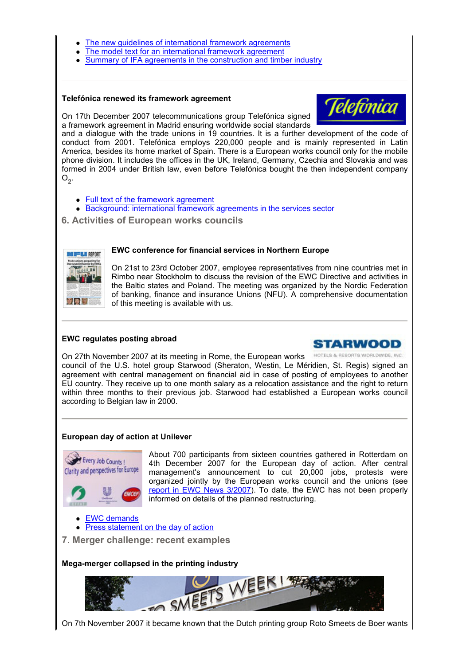- The new guidelines of international framework agreements
- The model text for an international framework agreement
- Summary of IFA agreements in the construction and timber industry

## **Telefónica renewed its framework agreement**



On 17th December 2007 telecommunications group Telefónica signed a framework agreement in Madrid ensuring worldwide social standards

and a dialogue with the trade unions in 19 countries. It is a further development of the code of conduct from 2001. Telefónica employs 220,000 people and is mainly represented in Latin America, besides its home market of Spain. There is a European works council only for the mobile phone division. It includes the offices in the UK, Ireland, Germany, Czechia and Slovakia and was formed in 2004 under British law, even before Telefónica bought the then independent company  $O_{2}$ .

- Full text of the framework agreement
- Background: international framework agreements in the services sector
- **6. Activities of European works councils**



## **EWC conference for financial services in Northern Europe**

On 21st to 23rd October 2007, employee representatives from nine countries met in Rimbo near Stockholm to discuss the revision of the EWC Directive and activities in the Baltic states and Poland. The meeting was organized by the Nordic Federation of banking, finance and insurance Unions (NFU). A comprehensive documentation of this meeting is available with us.

# **EWC regulates posting abroad**



HOTELS & RESORTS WORLDWIDE, INC.

On 27th November 2007 at its meeting in Rome, the European works council of the U.S. hotel group Starwood (Sheraton, Westin, Le Méridien, St. Regis) signed an agreement with central management on financial aid in case of posting of employees to another EU country. They receive up to one month salary as a relocation assistance and the right to return within three months to their previous job. Starwood had established a European works council according to Belgian law in 2000.

# **European day of action at Unilever**



About 700 participants from sixteen countries gathered in Rotterdam on 4th December 2007 for the European day of action. After central management's announcement to cut 20,000 jobs, protests were organized jointly by the European works council and the unions (see report in EWC News 3/2007). To date, the EWC has not been properly informed on details of the planned restructuring.

EWC demands

Press statement on the day of action

**7. Merger challenge: recent examples**

**Mega-merger collapsed in the printing industry**



On 7th November 2007 it became known that the Dutch printing group Roto Smeets de Boer wants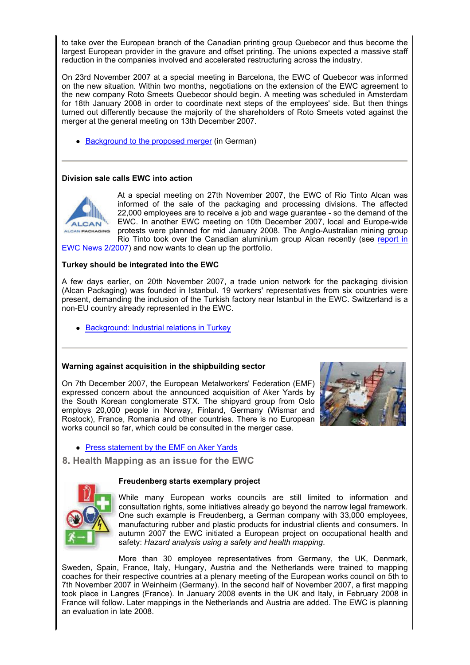to take over the European branch of the Canadian printing group Quebecor and thus become the largest European provider in the gravure and offset printing. The unions expected a massive staff reduction in the companies involved and accelerated restructuring across the industry.

On 23rd November 2007 at a special meeting in Barcelona, the EWC of Quebecor was informed on the new situation. Within two months, negotiations on the extension of the EWC agreement to the new company Roto Smeets Quebecor should begin. A meeting was scheduled in Amsterdam for 18th January 2008 in order to coordinate next steps of the employees' side. But then things turned out differently because the majority of the shareholders of Roto Smeets voted against the merger at the general meeting on 13th December 2007.

• Background to the proposed merger (in German)

## **Division sale calls EWC into action**



At a special meeting on 27th November 2007, the EWC of Rio Tinto Alcan was informed of the sale of the packaging and processing divisions. The affected 22,000 employees are to receive a job and wage guarantee - so the demand of the EWC. In another EWC meeting on 10th December 2007, local and Europe-wide protests were planned for mid January 2008. The Anglo-Australian mining group Rio Tinto took over the Canadian aluminium group Alcan recently (see report in

EWC News 2/2007) and now wants to clean up the portfolio.

## **Turkey should be integrated into the EWC**

A few days earlier, on 20th November 2007, a trade union network for the packaging division (Alcan Packaging) was founded in Istanbul. 19 workers' representatives from six countries were present, demanding the inclusion of the Turkish factory near Istanbul in the EWC. Switzerland is a non-EU country already represented in the EWC.

• Background: Industrial relations in Turkey

## **Warning against acquisition in the shipbuilding sector**

On 7th December 2007, the European Metalworkers' Federation (EMF) expressed concern about the announced acquisition of Aker Yards by the South Korean conglomerate STX. The shipyard group from Oslo employs 20,000 people in Norway, Finland, Germany (Wismar and Rostock), France, Romania and other countries. There is no European works council so far, which could be consulted in the merger case.



• Press statement by the EMF on Aker Yards

 **8. Health Mapping as an issue for the EWC**

## **Freudenberg starts exemplary project**



While many European works councils are still limited to information and consultation rights, some initiatives already go beyond the narrow legal framework. One such example is Freudenberg, a German company with 33,000 employees, manufacturing rubber and plastic products for industrial clients and consumers. In autumn 2007 the EWC initiated a European project on occupational health and safety: *Hazard analysis using a safety and health mapping*.

More than 30 employee representatives from Germany, the UK, Denmark, Sweden, Spain, France, Italy, Hungary, Austria and the Netherlands were trained to mapping coaches for their respective countries at a plenary meeting of the European works council on 5th to 7th November 2007 in Weinheim (Germany). In the second half of November 2007, a first mapping took place in Langres (France). In January 2008 events in the UK and Italy, in February 2008 in France will follow. Later mappings in the Netherlands and Austria are added. The EWC is planning an evaluation in late 2008.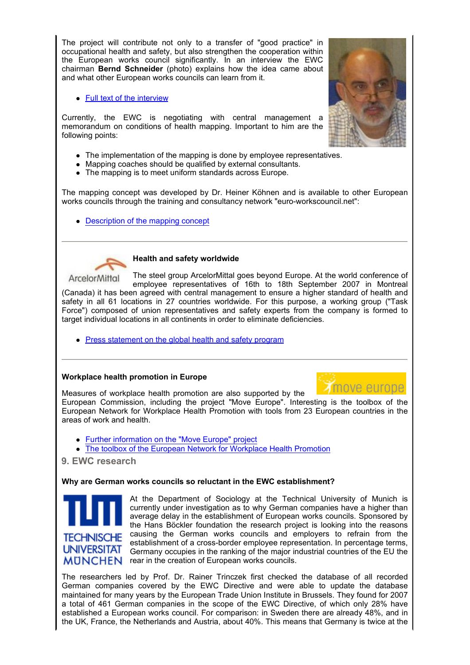The project will contribute not only to a transfer of "good practice" in occupational health and safety, but also strengthen the cooperation within the European works council significantly. In an interview the EWC chairman **Bernd Schneider** (photo) explains how the idea came about and what other European works councils can learn from it.

• Full text of the interview

Currently, the EWC is negotiating with central management a memorandum on conditions of health mapping. Important to him are the following points:

- The implementation of the mapping is done by employee representatives.
- Mapping coaches should be qualified by external consultants.
- The mapping is to meet uniform standards across Europe.

The mapping concept was developed by Dr. Heiner Köhnen and is available to other European works councils through the training and consultancy network "euro-workscouncil.net":

• Description of the mapping concept



#### **Health and safety worldwide**

The steel group ArcelorMittal goes beyond Europe. At the world conference of ArcelorMittal employee representatives of 16th to 18th September 2007 in Montreal (Canada) it has been agreed with central management to ensure a higher standard of health and safety in all 61 locations in 27 countries worldwide. For this purpose, a working group ("Task Force") composed of union representatives and safety experts from the company is formed to target individual locations in all continents in order to eliminate deficiencies.

• Press statement on the global health and safety program

## **Workplace health promotion in Europe**



Measures of workplace health promotion are also supported by the European Commission, including the project "Move Europe". Interesting is the toolbox of the European Network for Workplace Health Promotion with tools from 23 European countries in the areas of work and health.

- Further information on the "Move Europe" project
- The toolbox of the European Network for Workplace Health Promotion

**9. EWC research**

## **Why are German works councils so reluctant in the EWC establishment?**



At the Department of Sociology at the Technical University of Munich is currently under investigation as to why German companies have a higher than average delay in the establishment of European works councils. Sponsored by the Hans Böckler foundation the research project is looking into the reasons causing the German works councils and employers to refrain from the establishment of a cross-border employee representation. In percentage terms, Germany occupies in the ranking of the major industrial countries of the EU the  $MUNCHEN$  rear in the creation of European works councils.

The researchers led by Prof. Dr. Rainer Trinczek first checked the database of all recorded German companies covered by the EWC Directive and were able to update the database maintained for many years by the European Trade Union Institute in Brussels. They found for 2007 a total of 461 German companies in the scope of the EWC Directive, of which only 28% have established a European works council. For comparison: in Sweden there are already 48%, and in the UK, France, the Netherlands and Austria, about 40%. This means that Germany is twice at the

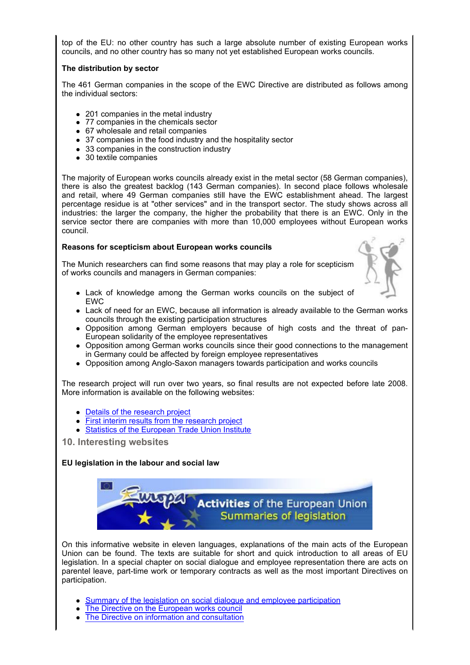top of the EU: no other country has such a large absolute number of existing European works councils, and no other country has so many not yet established European works councils.

## **The distribution by sector**

The 461 German companies in the scope of the EWC Directive are distributed as follows among the individual sectors:

- 201 companies in the metal industry
- 77 companies in the chemicals sector
- 67 wholesale and retail companies
- 37 companies in the food industry and the hospitality sector
- 33 companies in the construction industry
- 30 textile companies

The majority of European works councils already exist in the metal sector (58 German companies), there is also the greatest backlog (143 German companies). In second place follows wholesale and retail, where 49 German companies still have the EWC establishment ahead. The largest percentage residue is at "other services" and in the transport sector. The study shows across all industries: the larger the company, the higher the probability that there is an EWC. Only in the service sector there are companies with more than 10,000 employees without European works council.

## **Reasons for scepticism about European works councils**

The Munich researchers can find some reasons that may play a role for scepticism of works councils and managers in German companies:



- Lack of knowledge among the German works councils on the subject of EWC
- Lack of need for an EWC, because all information is already available to the German works councils through the existing participation structures
- Opposition among German employers because of high costs and the threat of pan-European solidarity of the employee representatives
- Opposition among German works councils since their good connections to the management in Germany could be affected by foreign employee representatives
- Opposition among Anglo-Saxon managers towards participation and works councils

The research project will run over two years, so final results are not expected before late 2008. More information is available on the following websites:

- Details of the research project
- First interim results from the research project
- Statistics of the European Trade Union Institute
- **10. Interesting websites**

# **EU legislation in the labour and social law**



On this informative website in eleven languages, explanations of the main acts of the European Union can be found. The texts are suitable for short and quick introduction to all areas of EU legislation. In a special chapter on social dialogue and employee representation there are acts on parentel leave, part-time work or temporary contracts as well as the most important Directives on participation.

- Summary of the legislation on social dialogue and employee participation
- The Directive on the European works council
- The Directive on information and consultation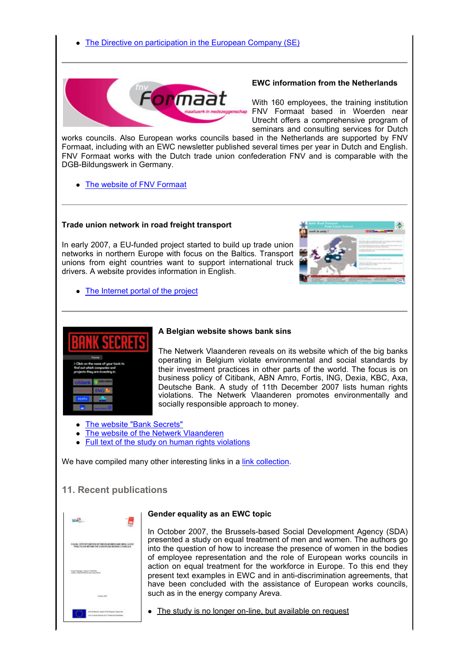

#### **EWC information from the Netherlands**

With 160 employees, the training institution FNV Formaat based in Woerden near Utrecht offers a comprehensive program of seminars and consulting services for Dutch

works councils. Also European works councils based in the Netherlands are supported by FNV Formaat, including with an EWC newsletter published several times per year in Dutch and English. FNV Formaat works with the Dutch trade union confederation FNV and is comparable with the DGB-Bildungswerk in Germany.

• The website of FNV Formaat

## **Trade union network in road freight transport**

In early 2007, a EU-funded project started to build up trade union networks in northern Europe with focus on the Baltics. Transport unions from eight countries want to support international truck drivers. A website provides information in English.



• The Internet portal of the project



## **A Belgian website shows bank sins**

The Netwerk Vlaanderen reveals on its website which of the big banks operating in Belgium violate environmental and social standards by their investment practices in other parts of the world. The focus is on business policy of Citibank, ABN Amro, Fortis, ING, Dexia, KBC, Axa, Deutsche Bank. A study of 11th December 2007 lists human rights violations. The Netwerk Vlaanderen promotes environmentally and socially responsible approach to money.

- The website "Bank Secrets"
- The website of the Netwerk Vlaanderen
- Full text of the study on human rights violations

We have compiled many other interesting links in a link collection.

# **11. Recent publications**

| 25<br>u. |                                                                                                                                                         |
|----------|---------------------------------------------------------------------------------------------------------------------------------------------------------|
|          | TOUR, OPPORTUNITIES DETREITN WOMEN AND MON. GOOD<br>PRINCIPALES METHIN THE ELRICATEAN WORKING COUNCILS.<br>A 전기 12 박 전 전 정도 전 10 전 12 전 12 전 전 전 12 전 전 |
|          | Frankfurger Geoty Francisco<br>Adela Monatolini per constituto                                                                                          |
|          | <b>SAN ARMS</b><br>Insier (207)                                                                                                                         |
|          | articles and a complete<br>with the function expect of the European Company can<br>one is notes busine at it Constitute Soustines                       |

## **Gender equality as an EWC topic**

In October 2007, the Brussels-based Social Development Agency (SDA) presented a study on equal treatment of men and women. The authors go into the question of how to increase the presence of women in the bodies of employee representation and the role of European works councils in action on equal treatment for the workforce in Europe. To this end they present text examples in EWC and in anti-discrimination agreements, that have been concluded with the assistance of European works councils, such as in the energy company Areva.

• The study is no longer on-line, but available on request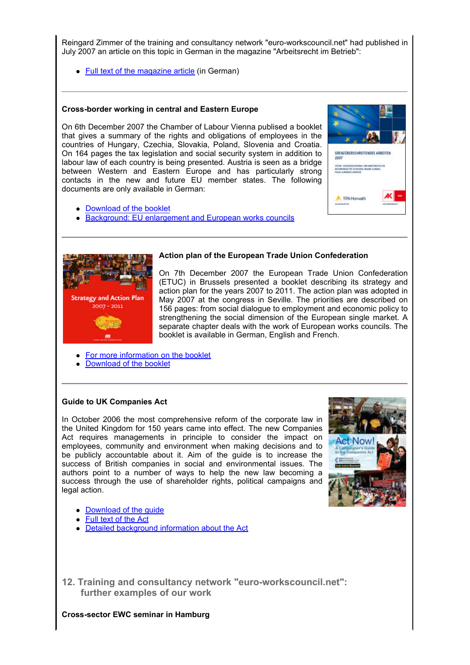Reingard Zimmer of the training and consultancy network "euro-workscouncil.net" had published in July 2007 an article on this topic in German in the magazine "Arbeitsrecht im Betrieb":

• Full text of the magazine article (in German)

## **Cross-border working in central and Eastern Europe**

On 6th December 2007 the Chamber of Labour Vienna publised a booklet that gives a summary of the rights and obligations of employees in the countries of Hungary, Czechia, Slovakia, Poland, Slovenia and Croatia. On 164 pages the tax legislation and social security system in addition to labour law of each country is being presented. Austria is seen as a bridge between Western and Eastern Europe and has particularly strong contacts in the new and future EU member states. The following documents are only available in German:

- Download of the booklet
- **Background: EU enlargement and European works councils**



## **Action plan of the European Trade Union Confederation**

On 7th December 2007 the European Trade Union Confederation (ETUC) in Brussels presented a booklet describing its strategy and action plan for the years 2007 to 2011. The action plan was adopted in May 2007 at the congress in Seville. The priorities are described on 156 pages: from social dialogue to employment and economic policy to strengthening the social dimension of the European single market. A separate chapter deals with the work of European works councils. The booklet is available in German, English and French.

- For more information on the booklet
- Download of the booklet

## **Guide to UK Companies Act**

In October 2006 the most comprehensive reform of the corporate law in the United Kingdom for 150 years came into effect. The new Companies Act requires managements in principle to consider the impact on employees, community and environment when making decisions and to be publicly accountable about it. Aim of the guide is to increase the success of British companies in social and environmental issues. The authors point to a number of ways to help the new law becoming a success through the use of shareholder rights, political campaigns and legal action.



GRENZÜBERSCHREITENDES ARBEITEN

**A** TPA Horward

- Download of the quide
- Full text of the Act
- Detailed background information about the Act

**12. Training and consultancy network "euro-workscouncil.net": further examples of our work**

**Cross-sector EWC seminar in Hamburg**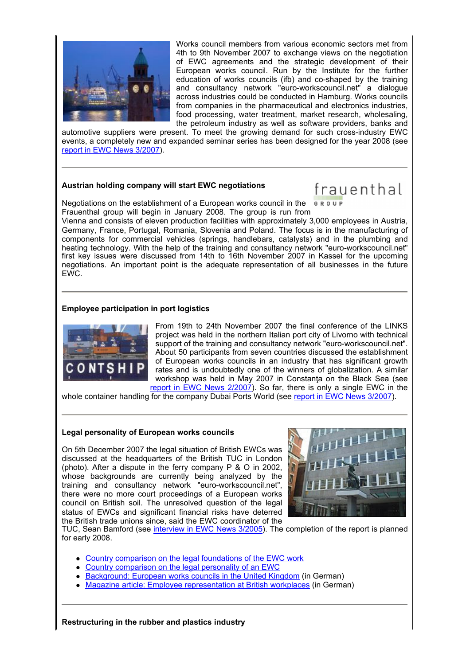

Works council members from various economic sectors met from 4th to 9th November 2007 to exchange views on the negotiation of EWC agreements and the strategic development of their European works council. Run by the Institute for the further education of works councils (ifb) and co-shaped by the training and consultancy network "euro-workscouncil.net" a dialogue across industries could be conducted in Hamburg. Works councils from companies in the pharmaceutical and electronics industries, food processing, water treatment, market research, wholesaling, the petroleum industry as well as software providers, banks and

automotive suppliers were present. To meet the growing demand for such cross-industry EWC events, a completely new and expanded seminar series has been designed for the year 2008 (see report in EWC News 3/2007).

## **Austrian holding company will start EWC negotiations**

# frauenthal

Negotiations on the establishment of a European works council in the Frauenthal group will begin in January 2008. The group is run from

Vienna and consists of eleven production facilities with approximately 3,000 employees in Austria, Germany, France, Portugal, Romania, Slovenia and Poland. The focus is in the manufacturing of components for commercial vehicles (springs, handlebars, catalysts) and in the plumbing and heating technology. With the help of the training and consultancy network "euro-workscouncil.net" first key issues were discussed from 14th to 16th November 2007 in Kassel for the upcoming negotiations. An important point is the adequate representation of all businesses in the future EWC.

## **Employee participation in port logistics**



From 19th to 24th November 2007 the final conference of the LINKS project was held in the northern Italian port city of Livorno with technical support of the training and consultancy network "euro-workscouncil.net". About 50 participants from seven countries discussed the establishment of European works councils in an industry that has significant growth rates and is undoubtedly one of the winners of globalization. A similar workshop was held in May 2007 in Constanta on the Black Sea (see report in EWC News 2/2007). So far, there is only a single EWC in the

whole container handling for the company Dubai Ports World (see report in EWC News 3/2007).

## **Legal personality of European works councils**

On 5th December 2007 the legal situation of British EWCs was discussed at the headquarters of the British TUC in London (photo). After a dispute in the ferry company P & O in 2002, whose backgrounds are currently being analyzed by the training and consultancy network "euro-workscouncil.net", there were no more court proceedings of a European works council on British soil. The unresolved question of the legal status of EWCs and significant financial risks have deterred the British trade unions since, said the EWC coordinator of the



TUC, Sean Bamford (see interview in EWC News 3/2005). The completion of the report is planned for early 2008.

- Country comparison on the legal foundations of the EWC work
- Country comparison on the legal personality of an EWC
- Background: European works councils in the United Kingdom (in German)
- Magazine article: Employee representation at British workplaces (in German)

**Restructuring in the rubber and plastics industry**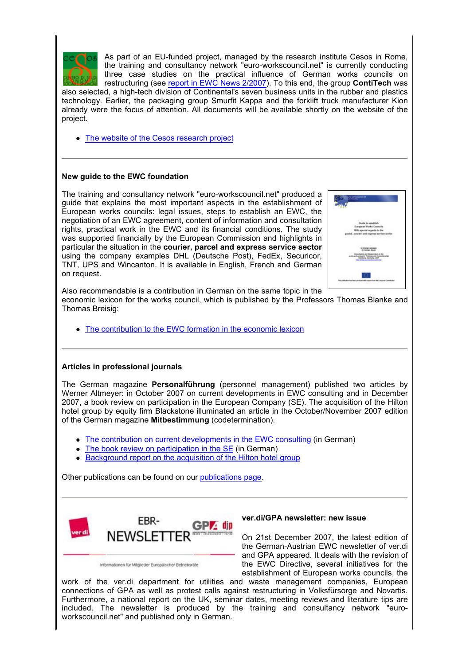

As part of an EU-funded project, managed by the research institute Cesos in Rome, the training and consultancy network "euro-workscouncil.net" is currently conducting three case studies on the practical influence of German works councils on restructuring (see report in EWC News 2/2007). To this end, the group **ContiTech** was

also selected, a high-tech division of Continental's seven business units in the rubber and plastics technology. Earlier, the packaging group Smurfit Kappa and the forklift truck manufacturer Kion already were the focus of attention. All documents will be available shortly on the website of the project.

• The website of the Cesos research project

## **New guide to the EWC foundation**

The training and consultancy network "euro-workscouncil.net" produced a guide that explains the most important aspects in the establishment of European works councils: legal issues, steps to establish an EWC, the negotiation of an EWC agreement, content of information and consultation rights, practical work in the EWC and its financial conditions. The study was supported financially by the European Commission and highlights in particular the situation in the **courier, parcel and express service sector** using the company examples DHL (Deutsche Post), FedEx, Securicor, TNT, UPS and Wincanton. It is available in English, French and German on request.



Also recommendable is a contribution in German on the same topic in the

economic lexicon for the works council, which is published by the Professors Thomas Blanke and Thomas Breisig:

• The contribution to the EWC formation in the economic lexicon

## **Articles in professional journals**

The German magazine **Personalführung** (personnel management) published two articles by Werner Altmeyer: in October 2007 on current developments in EWC consulting and in December 2007, a book review on participation in the European Company (SE). The acquisition of the Hilton hotel group by equity firm Blackstone illuminated an article in the October/November 2007 edition of the German magazine **Mitbestimmung** (codetermination).

- The contribution on current developments in the EWC consulting (in German)
- The book review on participation in the SE (in German)
- Background report on the acquisition of the Hilton hotel group

Other publications can be found on our publications page.



Informationen für Mitglieder Europäischer Betriebsräte

#### **ver.di/GPA newsletter: new issue**

On 21st December 2007, the latest edition of the German-Austrian EWC newsletter of ver.di and GPA appeared. It deals with the revision of the EWC Directive, several initiatives for the establishment of European works councils, the

work of the ver.di department for utilities and waste management companies, European connections of GPA as well as protest calls against restructuring in Volksfürsorge and Novartis. Furthermore, a national report on the UK, seminar dates, meeting reviews and literature tips are included. The newsletter is produced by the training and consultancy network "euroworkscouncil.net" and published only in German.